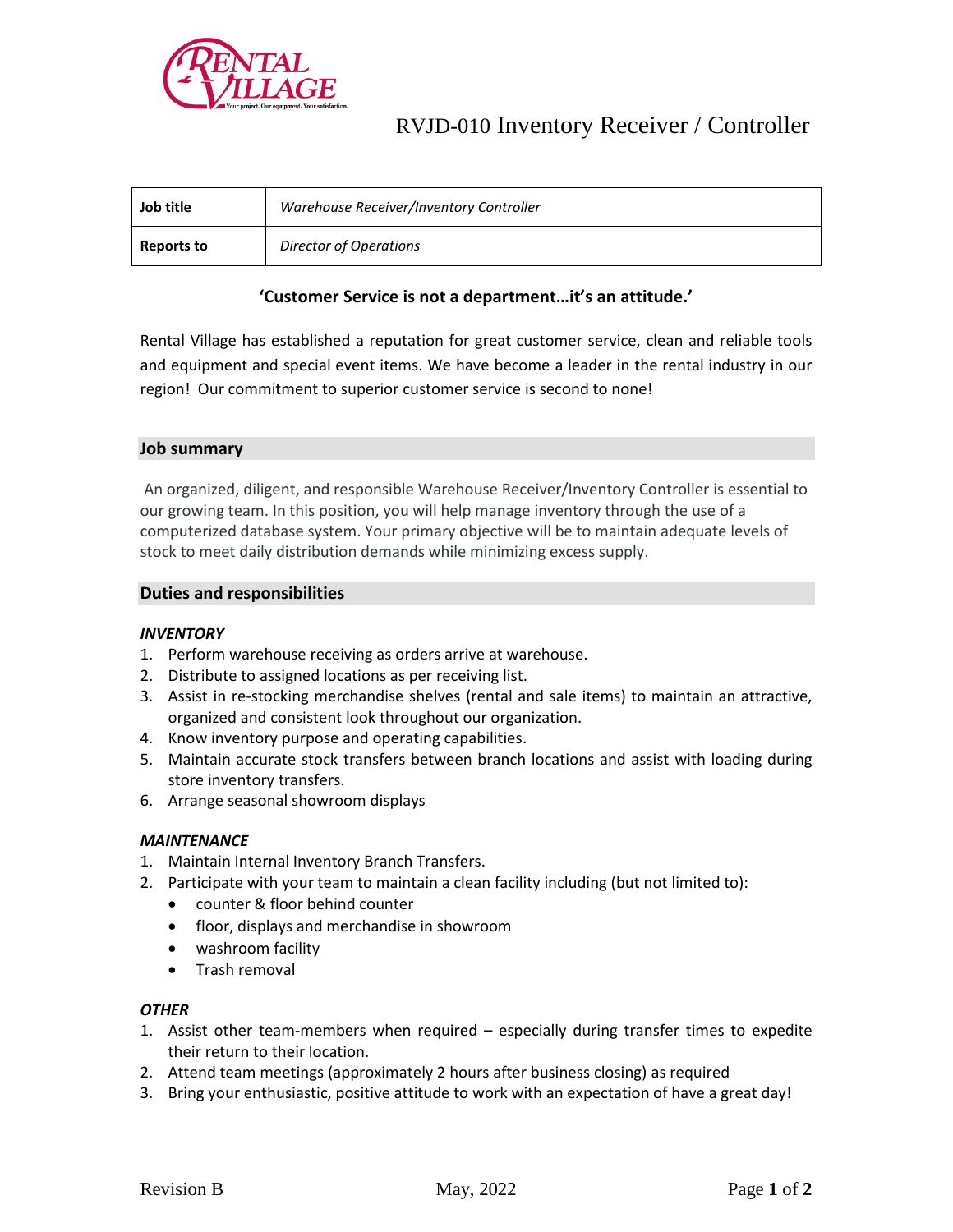

# RVJD-010 Inventory Receiver / Controller

| Job title         | Warehouse Receiver/Inventory Controller |
|-------------------|-----------------------------------------|
| <b>Reports to</b> | Director of Operations                  |

# **'Customer Service is not a department…it's an attitude.'**

Rental Village has established a reputation for great customer service, clean and reliable tools and equipment and special event items. We have become a leader in the rental industry in our region! Our commitment to superior customer service is second to none!

## **Job summary**

An organized, diligent, and responsible Warehouse Receiver/Inventory Controller is essential to our growing team. In this position, you will help manage inventory through the use of a computerized database system. Your primary objective will be to maintain adequate levels of stock to meet daily distribution demands while minimizing excess supply.

#### **Duties and responsibilities**

#### *INVENTORY*

- 1. Perform warehouse receiving as orders arrive at warehouse.
- 2. Distribute to assigned locations as per receiving list.
- 3. Assist in re-stocking merchandise shelves (rental and sale items) to maintain an attractive, organized and consistent look throughout our organization.
- 4. Know inventory purpose and operating capabilities.
- 5. Maintain accurate stock transfers between branch locations and assist with loading during store inventory transfers.
- 6. Arrange seasonal showroom displays

#### *MAINTENANCE*

- 1. Maintain Internal Inventory Branch Transfers.
- 2. Participate with your team to maintain a clean facility including (but not limited to):
	- counter & floor behind counter
	- floor, displays and merchandise in showroom
	- washroom facility
	- Trash removal

#### *OTHER*

- 1. Assist other team-members when required especially during transfer times to expedite their return to their location.
- 2. Attend team meetings (approximately 2 hours after business closing) as required
- 3. Bring your enthusiastic, positive attitude to work with an expectation of have a great day!